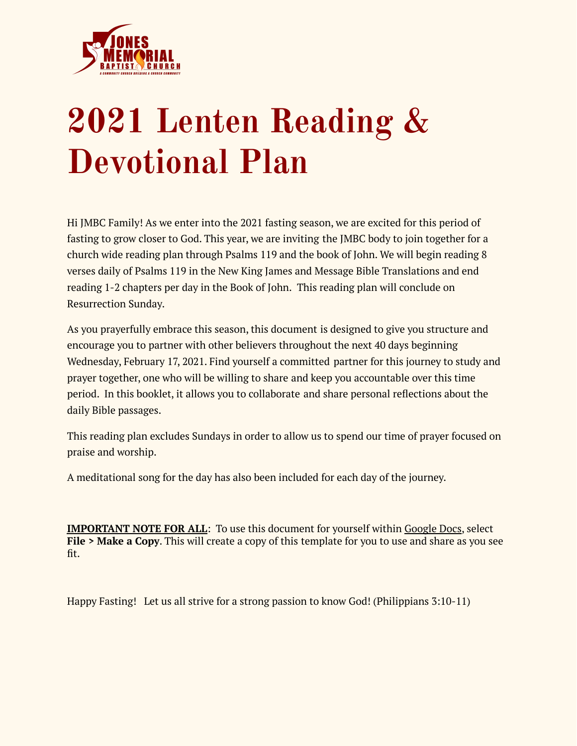

# **2021 Lenten Reading & Devotional Plan**

Hi JMBC Family! As we enter into the 2021 fasting season, we are excited for this period of fasting to grow closer to God. This year, we are inviting the JMBC body to join together for a church wide reading plan through Psalms 119 and the book of John. We will begin reading 8 verses daily of Psalms 119 in the New King James and Message Bible Translations and end reading 1-2 chapters per day in the Book of John. This reading plan will conclude on Resurrection Sunday.

As you prayerfully embrace this season, this document is designed to give you structure and encourage you to partner with other believers throughout the next 40 days beginning Wednesday, February 17, 2021. Find yourself a committed partner for this journey to study and prayer together, one who will be willing to share and keep you accountable over this time period. In this booklet, it allows you to collaborate and share personal reflections about the daily Bible passages.

This reading plan excludes Sundays in order to allow us to spend our time of prayer focused on praise and worship.

A meditational song for the day has also been included for each day of the journey.

**IMPORTANT NOTE FOR ALL**: To use this document for yourself within [Google](https://docs.google.com/document/d/1CzCreUhuP_GWgy6J-Dcp2EU3AR8y4wZKbBSpqWDB0hA/edit?usp=sharing) Docs, select **File > Make a Copy**. This will create a copy of this template for you to use and share as you see fit.

Happy Fasting! Let us all strive for a strong passion to know God! (Philippians 3:10-11)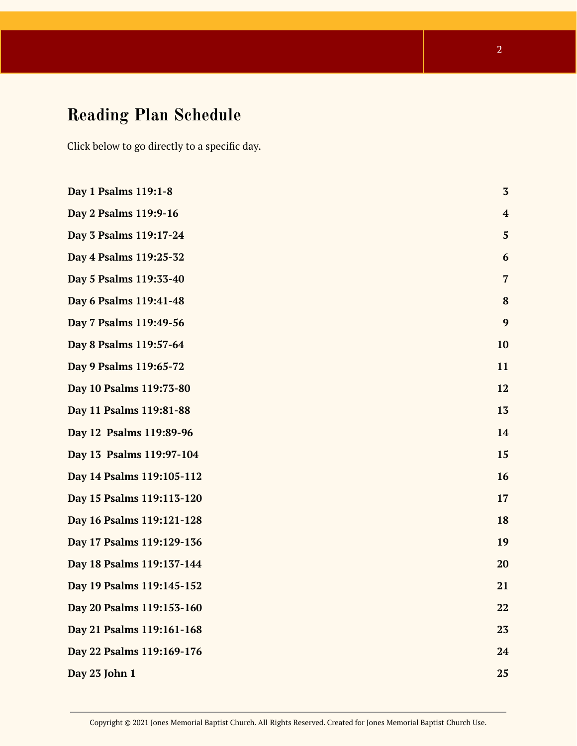# **Reading Plan Schedule**

Click below to go directly to a specific day.

| Day 1 Psalms 119:1-8      | $\overline{\mathbf{3}}$ |
|---------------------------|-------------------------|
| Day 2 Psalms 119:9-16     | $\overline{\mathbf{4}}$ |
| Day 3 Psalms 119:17-24    | 5                       |
| Day 4 Psalms 119:25-32    | 6                       |
| Day 5 Psalms 119:33-40    | $\overline{7}$          |
| Day 6 Psalms 119:41-48    | 8                       |
| Day 7 Psalms 119:49-56    | 9                       |
| Day 8 Psalms 119:57-64    | 10                      |
| Day 9 Psalms 119:65-72    | 11                      |
| Day 10 Psalms 119:73-80   | 12                      |
| Day 11 Psalms 119:81-88   | 13                      |
| Day 12 Psalms 119:89-96   | 14                      |
| Day 13 Psalms 119:97-104  | 15                      |
| Day 14 Psalms 119:105-112 | 16                      |
| Day 15 Psalms 119:113-120 | 17                      |
| Day 16 Psalms 119:121-128 | 18                      |
| Day 17 Psalms 119:129-136 | 19                      |
| Day 18 Psalms 119:137-144 | 20                      |
| Day 19 Psalms 119:145-152 | 21                      |
| Day 20 Psalms 119:153-160 | 22                      |
| Day 21 Psalms 119:161-168 | 23                      |
| Day 22 Psalms 119:169-176 | 24                      |
| Day 23 John 1             | 25                      |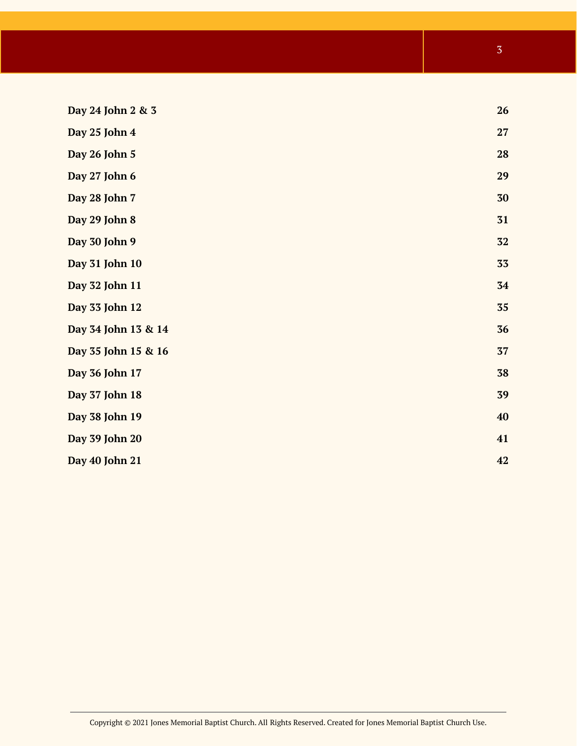<span id="page-2-0"></span>

| Day 24 John 2 & 3   | 26 |
|---------------------|----|
| Day 25 John 4       | 27 |
| Day 26 John 5       | 28 |
| Day 27 John 6       | 29 |
| Day 28 John 7       | 30 |
| Day 29 John 8       | 31 |
| Day 30 John 9       | 32 |
| Day 31 John 10      | 33 |
| Day 32 John 11      | 34 |
| Day 33 John 12      | 35 |
| Day 34 John 13 & 14 | 36 |
| Day 35 John 15 & 16 | 37 |
| Day 36 John 17      | 38 |
| Day 37 John 18      | 39 |
| Day 38 John 19      | 40 |
| Day 39 John 20      | 41 |
| Day 40 John 21      | 42 |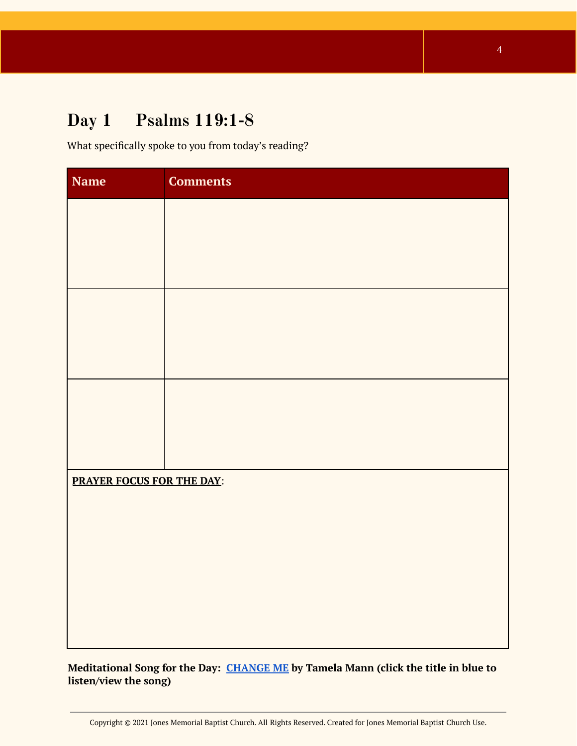# **Day 1 Psalms 119:1-8**

What specifically spoke to you from today's reading?

| <b>Name</b>               | <b>Comments</b> |  |
|---------------------------|-----------------|--|
|                           |                 |  |
|                           |                 |  |
|                           |                 |  |
|                           |                 |  |
|                           |                 |  |
|                           |                 |  |
|                           |                 |  |
|                           |                 |  |
|                           |                 |  |
| PRAYER FOCUS FOR THE DAY: |                 |  |
|                           |                 |  |
|                           |                 |  |
|                           |                 |  |
|                           |                 |  |
|                           |                 |  |

**Meditational Song for the Day: [CHANGE](https://youtu.be/dlgLJEHF3Ok) ME by Tamela Mann (click the title in blue to listen/view the song)**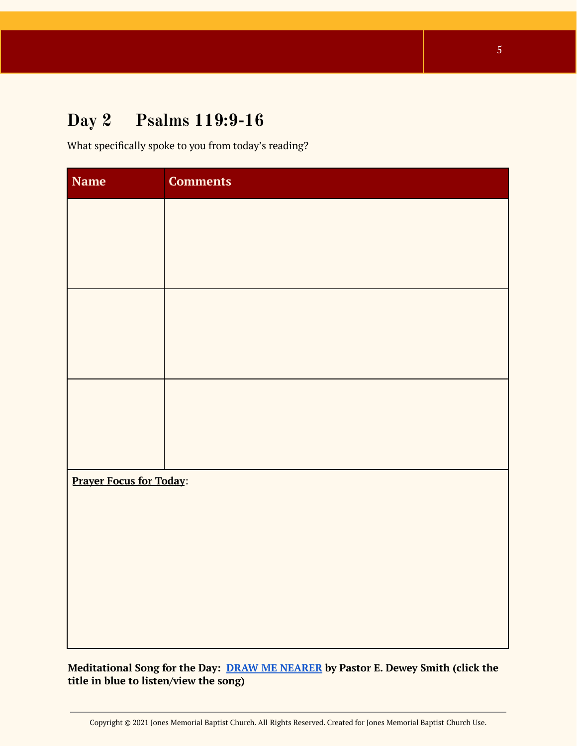# **Day 2 Psalms 119:9-16**

What specifically spoke to you from today's reading?

| <b>Name</b>                    | <b>Comments</b> |
|--------------------------------|-----------------|
|                                |                 |
|                                |                 |
|                                |                 |
|                                |                 |
|                                |                 |
|                                |                 |
|                                |                 |
|                                |                 |
|                                |                 |
| <b>Prayer Focus for Today:</b> |                 |
|                                |                 |
|                                |                 |
|                                |                 |
|                                |                 |
|                                |                 |

**Meditational Song for the Day: DRAW ME [NEARER](https://youtu.be/LxATVHB4R30) by Pastor E. Dewey Smith (click the title in blue to listen/view the song)**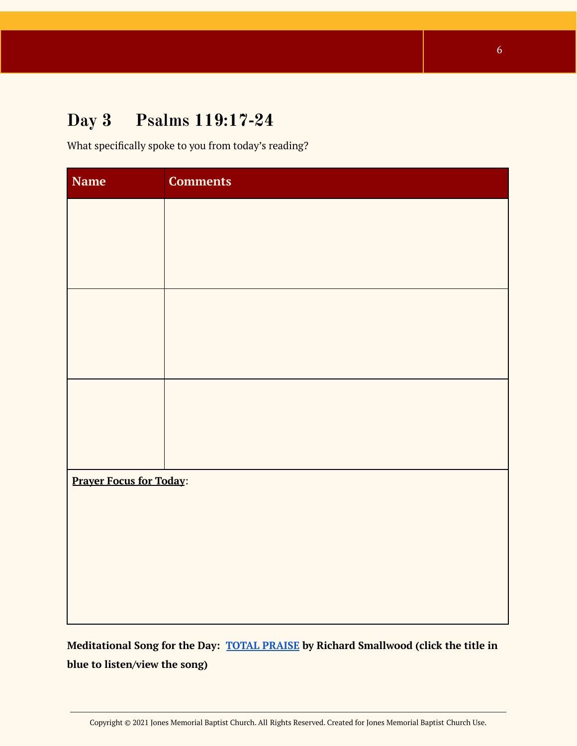# <span id="page-5-0"></span>**Day 3 Psalms 119:17-24**

What specifically spoke to you from today's reading?

| <b>Comments</b>                |  |
|--------------------------------|--|
|                                |  |
|                                |  |
|                                |  |
|                                |  |
|                                |  |
|                                |  |
|                                |  |
|                                |  |
|                                |  |
| <b>Prayer Focus for Today:</b> |  |
|                                |  |
|                                |  |
|                                |  |
|                                |  |
|                                |  |

<span id="page-5-1"></span>**Meditational Song for the Day: TOTAL [PRAISE](https://youtu.be/jCjaUwEsMdQ) by Richard Smallwood (click the title in blue to listen/view the song)**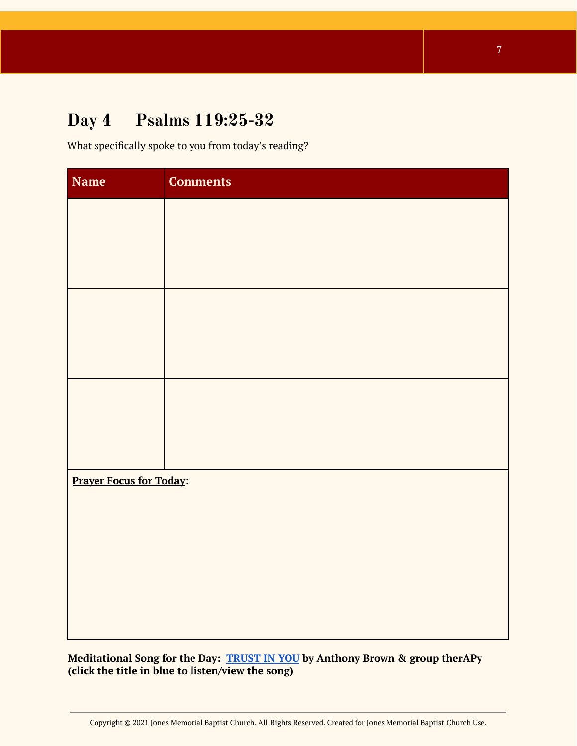# **Day 4 Psalms 119:25-32**

What specifically spoke to you from today's reading?

| Name                           | <b>Comments</b> |
|--------------------------------|-----------------|
|                                |                 |
|                                |                 |
|                                |                 |
|                                |                 |
|                                |                 |
|                                |                 |
|                                |                 |
|                                |                 |
|                                |                 |
| <b>Prayer Focus for Today:</b> |                 |
|                                |                 |
|                                |                 |
|                                |                 |
|                                |                 |
|                                |                 |

**Meditational Song for the Day: [TRUST](https://www.youtube.com/watch?v=hWdNuumUgio) IN YOU by Anthony Brown & group therAPy (click the title in blue to listen/view the song)**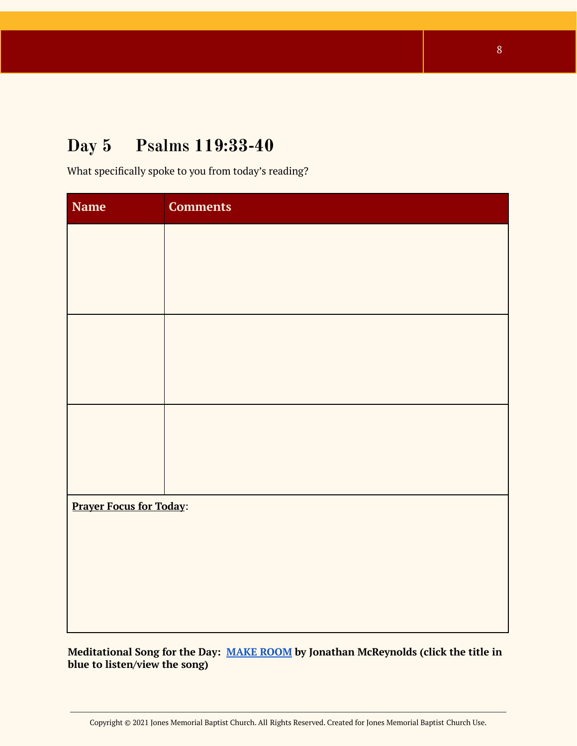# <span id="page-7-0"></span>**Day 5 Psalms 119:33-40**

What specifically spoke to you from today's reading?

| <b>Name</b>                    | <b>Comments</b> |
|--------------------------------|-----------------|
|                                |                 |
|                                |                 |
|                                |                 |
|                                |                 |
|                                |                 |
|                                |                 |
|                                |                 |
|                                |                 |
|                                |                 |
| <b>Prayer Focus for Today:</b> |                 |
|                                |                 |
|                                |                 |
|                                |                 |
|                                |                 |

**Meditational Song for the Day: MAKE [ROOM](https://youtu.be/R2fngqWB6kM) by Jonathan McReynolds (click the title in blue to listen/view the song)**

8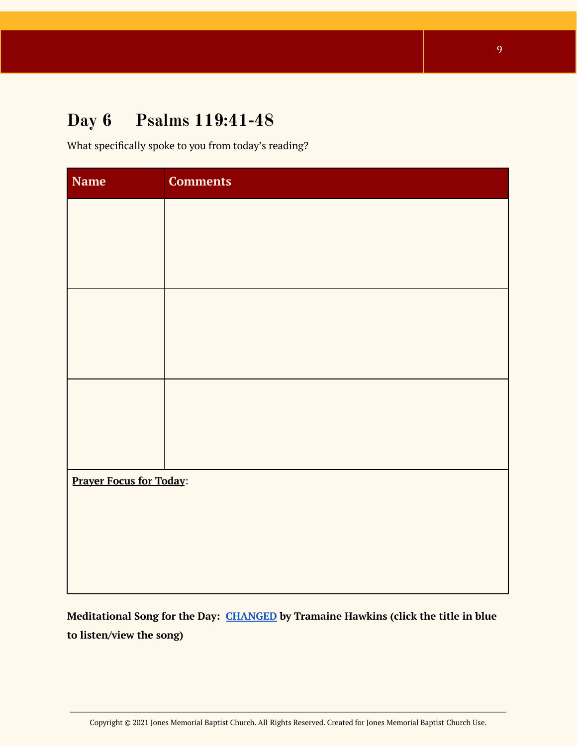# <span id="page-8-0"></span>**Day 6 Psalms 119:41-48**

What specifically spoke to you from today's reading?

| <b>Name</b>                    | <b>Comments</b> |
|--------------------------------|-----------------|
|                                |                 |
|                                |                 |
|                                |                 |
|                                |                 |
|                                |                 |
|                                |                 |
|                                |                 |
|                                |                 |
|                                |                 |
| <b>Prayer Focus for Today:</b> |                 |
|                                |                 |
|                                |                 |
|                                |                 |
|                                |                 |

<span id="page-8-1"></span>**Meditational Song for the Day: [CHANGED](https://open.spotify.com/track/69np0vEH8DIRlKZqSfnCBi?si=MzTafNBxQvqIOGmb3b_WNg) by Tramaine Hawkins (click the title in blue to listen/view the song)**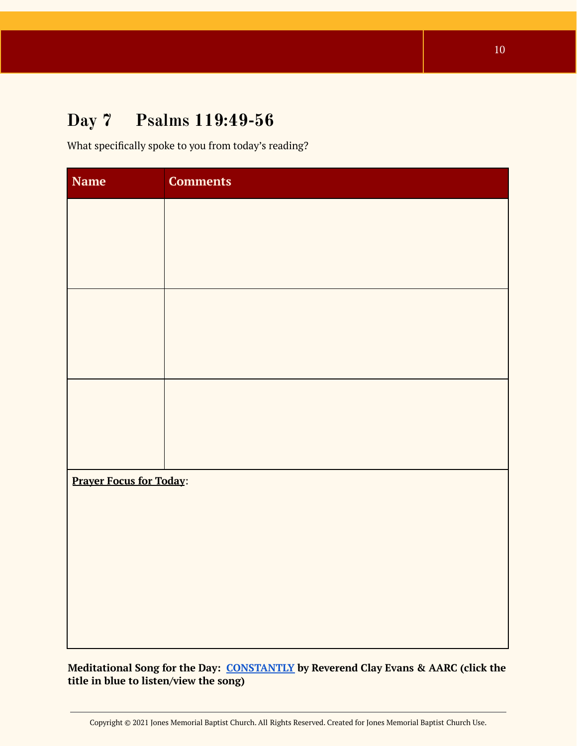# **Day 7 Psalms 119:49-56**

What specifically spoke to you from today's reading?

| <b>Name</b>                    | <b>Comments</b> |
|--------------------------------|-----------------|
|                                |                 |
|                                |                 |
|                                |                 |
|                                |                 |
|                                |                 |
|                                |                 |
|                                |                 |
|                                |                 |
|                                |                 |
| <b>Prayer Focus for Today:</b> |                 |
|                                |                 |
|                                |                 |
|                                |                 |
|                                |                 |
|                                |                 |

**Meditational Song for the Day: [CONSTANTLY](https://open.spotify.com/track/0ndLmlQXEjsT13fQvKez15?si=bg5IAtnwTVakr6S1IAll3g) by Reverend Clay Evans & AARC (click the title in blue to listen/view the song)**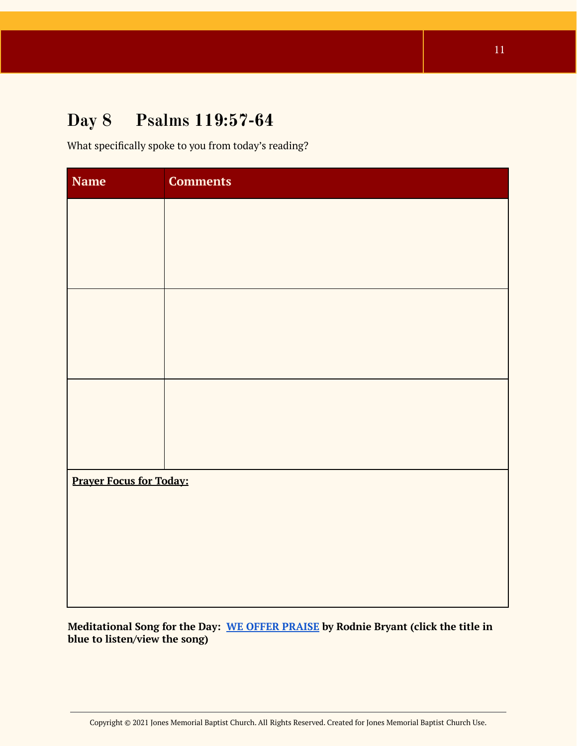# <span id="page-10-0"></span>**Day 8 Psalms 119:57-64**

What specifically spoke to you from today's reading?

| <b>Name</b>                    | <b>Comments</b> |
|--------------------------------|-----------------|
|                                |                 |
|                                |                 |
|                                |                 |
|                                |                 |
|                                |                 |
|                                |                 |
|                                |                 |
|                                |                 |
|                                |                 |
| <b>Prayer Focus for Today:</b> |                 |
|                                |                 |
|                                |                 |
|                                |                 |
|                                |                 |

**Meditational Song for the Day: WE OFFER [PRAISE](https://open.spotify.com/track/6IrrKT4Teoj4fgE65LJogE?si=10n9dTG9RXaDi3VmrXr2mA) by Rodnie Bryant (click the title in blue to listen/view the song)**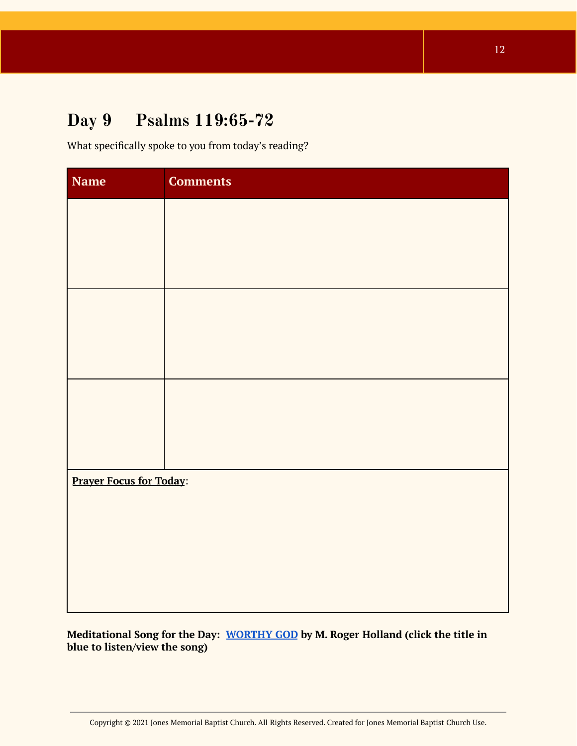# **Day 9 Psalms 119:65-72**

What specifically spoke to you from today's reading?

| <b>Name</b>                    | <b>Comments</b> |
|--------------------------------|-----------------|
|                                |                 |
|                                |                 |
|                                |                 |
|                                |                 |
|                                |                 |
|                                |                 |
|                                |                 |
|                                |                 |
|                                |                 |
| <b>Prayer Focus for Today:</b> |                 |
|                                |                 |
|                                |                 |
|                                |                 |
|                                |                 |

<span id="page-11-0"></span>**Meditational Song for the Day: [WORTHY](https://open.spotify.com/track/2NWUJwiuJxFaAtdCfNsR9a?si=Rq4MicB2QaS1YMiwA6gv3Q) GOD by M. Roger Holland (click the title in blue to listen/view the song)**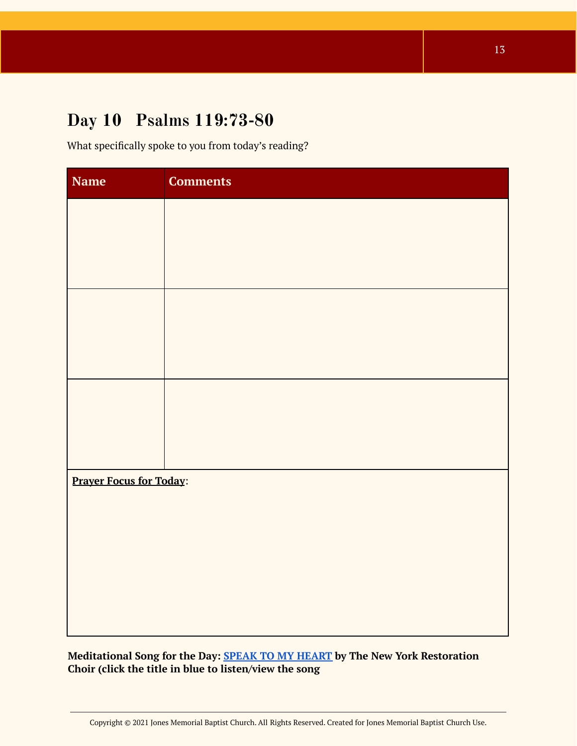### **Day 10 Psalms 119:73-80**

What specifically spoke to you from today's reading?

| Name                           | <b>Comments</b> |  |
|--------------------------------|-----------------|--|
|                                |                 |  |
|                                |                 |  |
|                                |                 |  |
|                                |                 |  |
|                                |                 |  |
|                                |                 |  |
|                                |                 |  |
|                                |                 |  |
|                                |                 |  |
| <b>Prayer Focus for Today:</b> |                 |  |
|                                |                 |  |
|                                |                 |  |
|                                |                 |  |
|                                |                 |  |
|                                |                 |  |

**Meditational Song for the Day: SPEAK TO MY [HEART](https://open.spotify.com/track/3N0Vc4dSzbdjSqjZrL4sbS?si=o0qbJ-6mS42qhfsyZdcZ3A) by The New York Restoration Choir (click the title in blue to listen/view the song**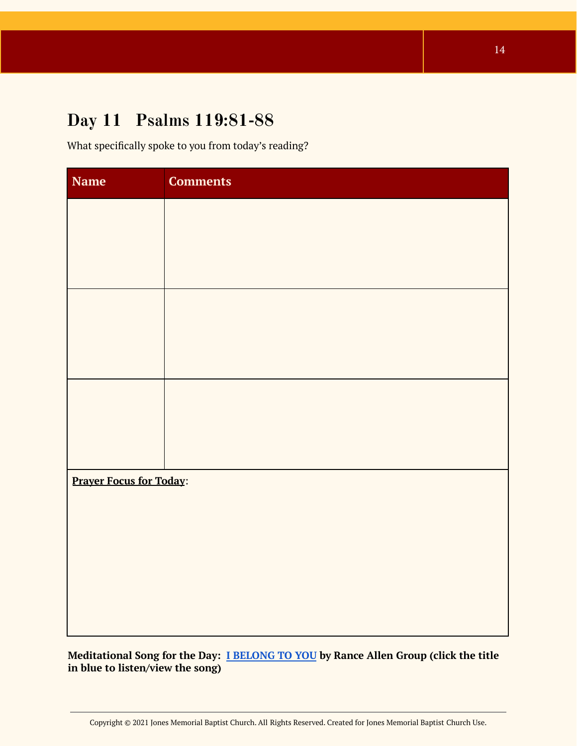#### <span id="page-13-0"></span>**Day 11 Psalms 119:81-88**

What specifically spoke to you from today's reading?

| <b>Name</b> | <b>Comments</b>                |  |  |
|-------------|--------------------------------|--|--|
|             |                                |  |  |
|             |                                |  |  |
|             |                                |  |  |
|             |                                |  |  |
|             |                                |  |  |
|             |                                |  |  |
|             |                                |  |  |
|             |                                |  |  |
|             |                                |  |  |
|             | <b>Prayer Focus for Today:</b> |  |  |
|             |                                |  |  |
|             |                                |  |  |
|             |                                |  |  |
|             |                                |  |  |
|             |                                |  |  |

**Meditational Song for the Day: I [BELONG](https://open.spotify.com/track/0jS2AyHaTAIyDM1kN9woxE?si=fgLBZWiUQA688KzKwJbAgA) TO YOU by Rance Allen Group (click the title in blue to listen/view the song)**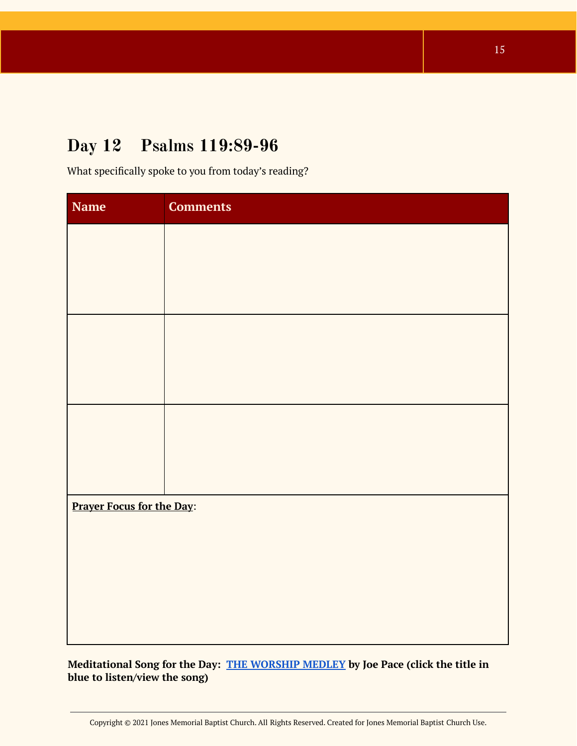#### <span id="page-14-0"></span>**Day 12 Psalms 119:89-96**

What specifically spoke to you from today's reading?

| <b>Name</b>                      | <b>Comments</b> |
|----------------------------------|-----------------|
|                                  |                 |
|                                  |                 |
|                                  |                 |
|                                  |                 |
|                                  |                 |
|                                  |                 |
|                                  |                 |
|                                  |                 |
|                                  |                 |
| <b>Prayer Focus for the Day:</b> |                 |
|                                  |                 |
|                                  |                 |
|                                  |                 |
|                                  |                 |
|                                  |                 |

**Meditational Song for the Day: THE [WORSHIP](https://open.spotify.com/track/5bwRBLjzgQIWvnMyKzLBEE?si=CoCf0yEqRdGtO8eaM9UsoA) MEDLEY by Joe Pace (click the title in blue to listen/view the song)**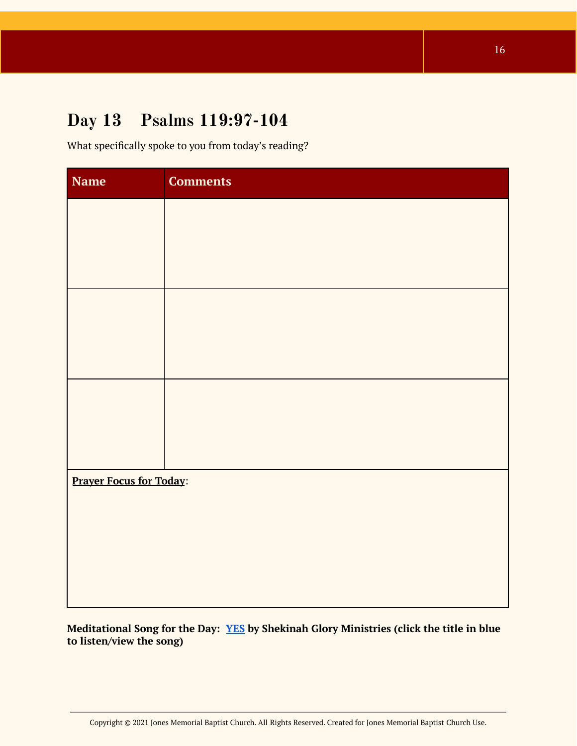#### <span id="page-15-0"></span>**Day 13 Psalms 119:97-104**

What specifically spoke to you from today's reading?

| <b>Name</b>                    | <b>Comments</b> |
|--------------------------------|-----------------|
|                                |                 |
|                                |                 |
|                                |                 |
|                                |                 |
|                                |                 |
|                                |                 |
|                                |                 |
|                                |                 |
|                                |                 |
| <b>Prayer Focus for Today:</b> |                 |
|                                |                 |
|                                |                 |
|                                |                 |
|                                |                 |

**Meditational Song for the Day: [YES](https://open.spotify.com/track/51lmYqMkkftoTHyxgQlchW?si=oYS4_tZ5SRG3lHfNEXmNBw) by Shekinah Glory Ministries (click the title in blue to listen/view the song)**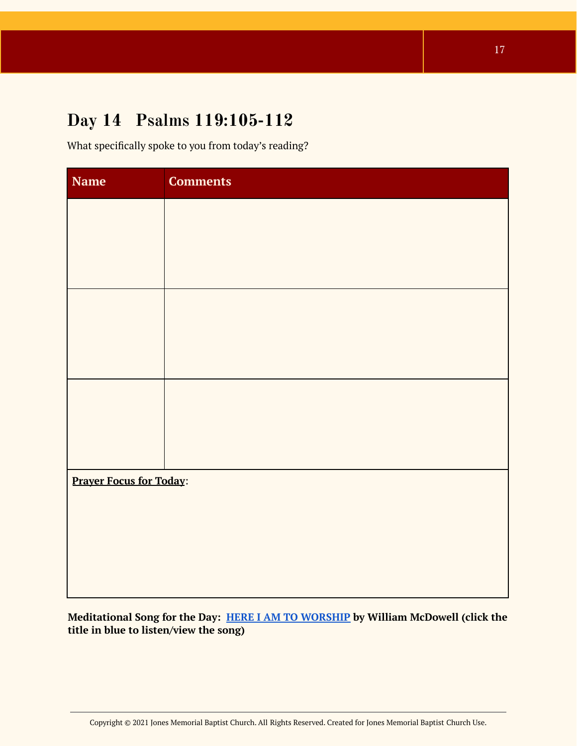### **Day 14 Psalms 119:105-112**

What specifically spoke to you from today's reading?

| <b>Name</b>                    | <b>Comments</b> |
|--------------------------------|-----------------|
|                                |                 |
|                                |                 |
|                                |                 |
|                                |                 |
|                                |                 |
|                                |                 |
|                                |                 |
|                                |                 |
|                                |                 |
| <b>Prayer Focus for Today:</b> |                 |
|                                |                 |
|                                |                 |
|                                |                 |
|                                |                 |

**Meditational Song for the Day: HERE I AM TO [WORSHIP](https://open.spotify.com/track/670aUcfPo0wqkLWWmiBvKf?si=vnIpW8PRS9mjYLkz5P-aPg) by William McDowell (click the title in blue to listen/view the song)**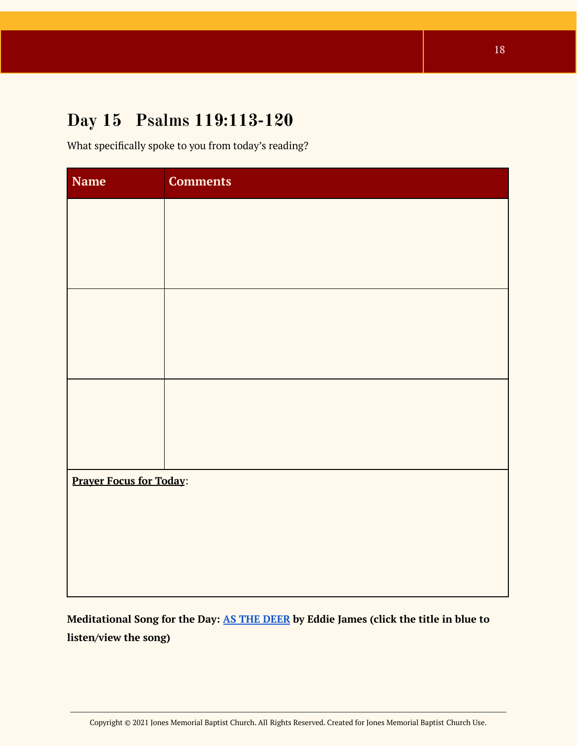### <span id="page-17-0"></span>**Day 15 Psalms 119:113-120**

What specifically spoke to you from today's reading?

| <b>Name</b>                    | <b>Comments</b> |
|--------------------------------|-----------------|
|                                |                 |
|                                |                 |
|                                |                 |
|                                |                 |
|                                |                 |
|                                |                 |
|                                |                 |
|                                |                 |
|                                |                 |
| <b>Prayer Focus for Today:</b> |                 |
|                                |                 |
|                                |                 |
|                                |                 |
|                                |                 |

<span id="page-17-1"></span>**Meditational Song for the Day: AS THE [DEER](https://youtu.be/_ZSgFqQqc5Y) by Eddie James (click the title in blue to listen/view the song)**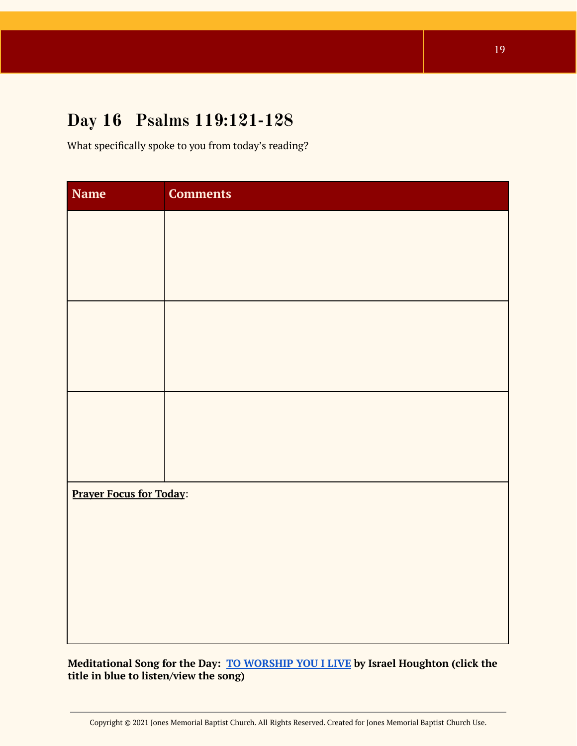### **Day 16 Psalms 119:121-128**

What specifically spoke to you from today's reading?

| <b>Name</b>                    | <b>Comments</b> |
|--------------------------------|-----------------|
|                                |                 |
|                                |                 |
|                                |                 |
|                                |                 |
|                                |                 |
|                                |                 |
|                                |                 |
|                                |                 |
|                                |                 |
| <b>Prayer Focus for Today:</b> |                 |
|                                |                 |
|                                |                 |
|                                |                 |
|                                |                 |
|                                |                 |

**Meditational Song for the Day: TO [WORSHIP](https://open.spotify.com/track/0FGTz3d60ejPOHzJi1lxvN?si=iH-ZPK8WQ-uMB7rNi8gmDA) YOU I LIVE by Israel Houghton (click the title in blue to listen/view the song)**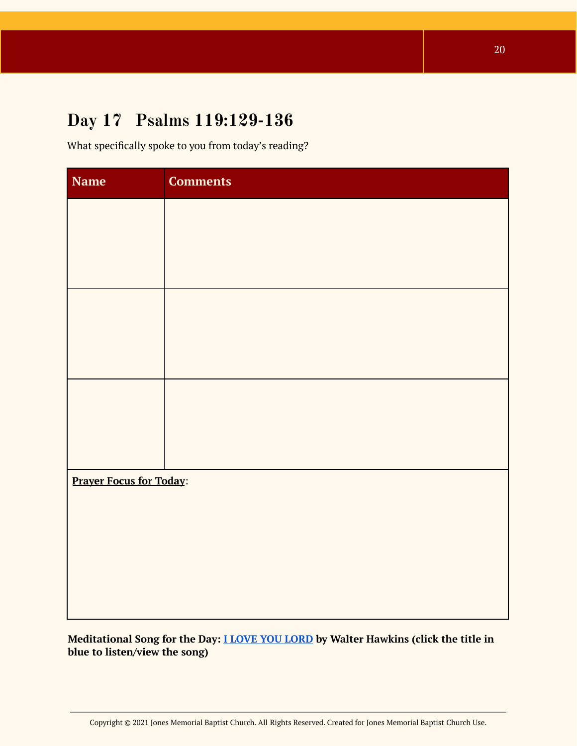### <span id="page-19-0"></span>**Day 17 Psalms 119:129-136**

What specifically spoke to you from today's reading?

| <b>Name</b> | <b>Comments</b>                |  |  |
|-------------|--------------------------------|--|--|
|             |                                |  |  |
|             |                                |  |  |
|             |                                |  |  |
|             |                                |  |  |
|             |                                |  |  |
|             |                                |  |  |
|             |                                |  |  |
|             |                                |  |  |
|             |                                |  |  |
|             | <b>Prayer Focus for Today:</b> |  |  |
|             |                                |  |  |
|             |                                |  |  |
|             |                                |  |  |
|             |                                |  |  |

**Meditational Song for the Day: I LOVE YOU [LORD](https://open.spotify.com/track/7c7KUbcjrq444Q9iDeZs4p?si=gLHsok4cRPO_bFggIJgJiA) by Walter Hawkins (click the title in blue to listen/view the song)**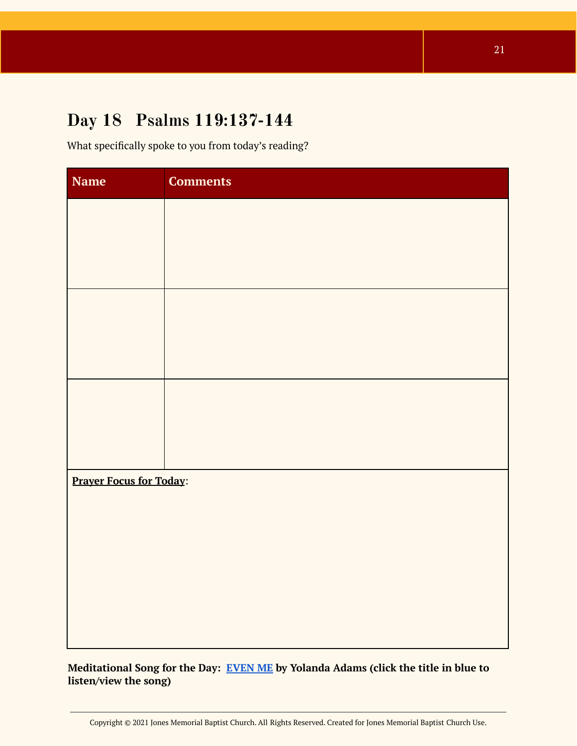### <span id="page-20-0"></span>**Day 18 Psalms 119:137-144**

What specifically spoke to you from today's reading?

| <b>Name</b>                    | <b>Comments</b> |
|--------------------------------|-----------------|
|                                |                 |
|                                |                 |
|                                |                 |
|                                |                 |
|                                |                 |
|                                |                 |
|                                |                 |
|                                |                 |
|                                |                 |
| <b>Prayer Focus for Today:</b> |                 |
|                                |                 |
|                                |                 |
|                                |                 |
|                                |                 |
|                                |                 |

**Meditational Song for the Day: [EVEN](https://open.spotify.com/track/3N1hwI5e2iKphX26w9mNgp?si=478g8KO5QRCoNBfWtNu3Iw) ME by Yolanda Adams (click the title in blue to listen/view the song)**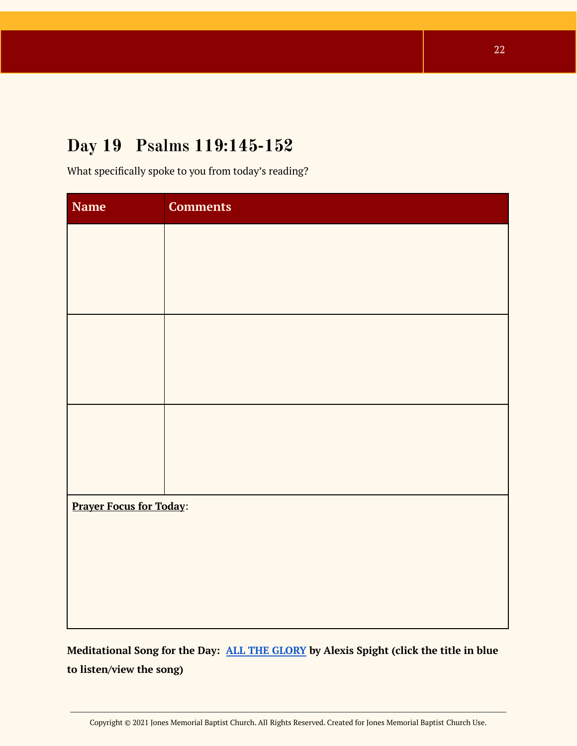# <span id="page-21-0"></span>**Day 19 Psalms 119:145-152**

What specifically spoke to you from today's reading?

| <b>Name</b>                    | <b>Comments</b> |
|--------------------------------|-----------------|
|                                |                 |
|                                |                 |
|                                |                 |
|                                |                 |
|                                |                 |
|                                |                 |
|                                |                 |
|                                |                 |
|                                |                 |
| <b>Prayer Focus for Today:</b> |                 |
|                                |                 |
|                                |                 |
|                                |                 |
|                                |                 |

<span id="page-21-1"></span>**Meditational Song for the Day: ALL THE [GLORY](https://open.spotify.com/track/4XAj6myMyg5qC4bb7HOuVZ?si=vYfSsWv8SN-LkfzFL1XHAQ) by Alexis Spight (click the title in blue to listen/view the song)**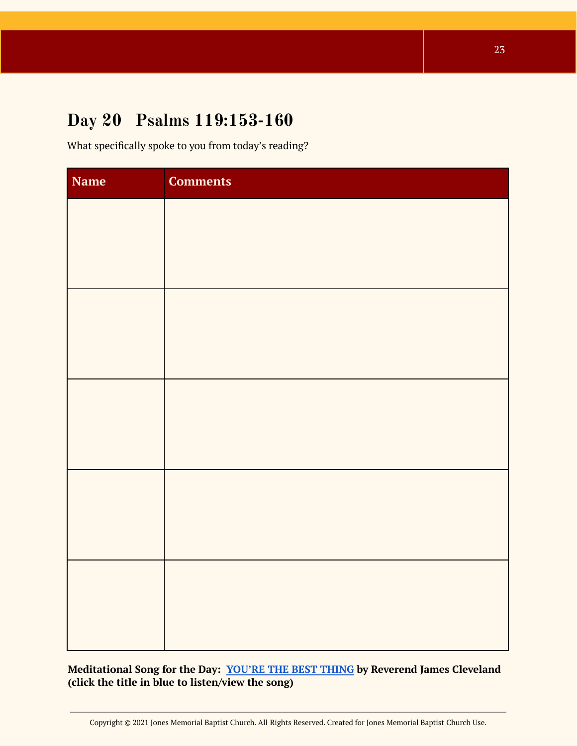#### **Day 20 Psalms 119:153-160**

What specifically spoke to you from today's reading?

| <b>Name</b> | <b>Comments</b> |
|-------------|-----------------|
|             |                 |
|             |                 |
|             |                 |
|             |                 |
|             |                 |
|             |                 |
|             |                 |
|             |                 |
|             |                 |
|             |                 |
|             |                 |
|             |                 |
|             |                 |
|             |                 |
|             |                 |

**Meditational Song for the Day: [YOU'RE](https://open.spotify.com/track/7LAII4djHnofKYPiOu7dAH?si=kdElLlp_ROOaloGsmKDpzw) THE BEST THING by Reverend James Cleveland (click the title in blue to listen/view the song)**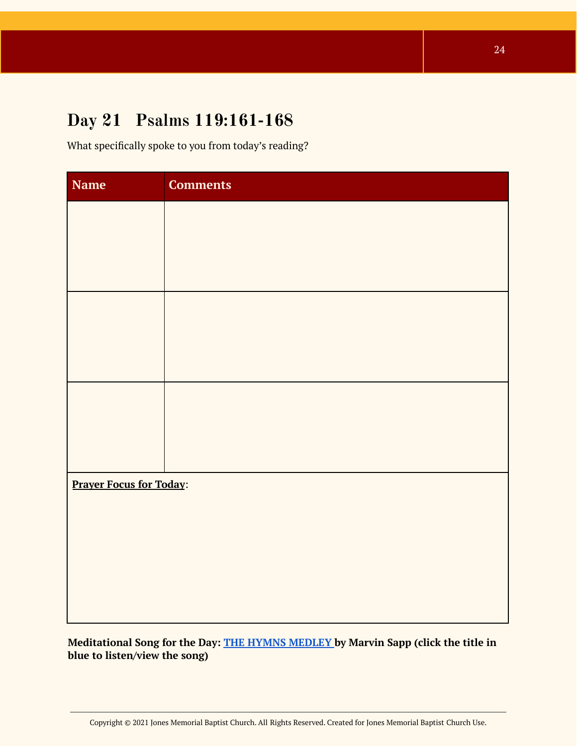#### <span id="page-23-0"></span>**Day 21 Psalms 119:161-168**

What specifically spoke to you from today's reading?

| <b>Name</b>                    | <b>Comments</b> |
|--------------------------------|-----------------|
|                                |                 |
|                                |                 |
|                                |                 |
|                                |                 |
|                                |                 |
|                                |                 |
|                                |                 |
|                                |                 |
|                                |                 |
| <b>Prayer Focus for Today:</b> |                 |
|                                |                 |
|                                |                 |
|                                |                 |
|                                |                 |
|                                |                 |

**Meditational Song for the Day: THE HYMNS [MEDLEY](https://open.spotify.com/track/6RQBpqAtomGK5pUEeBT17z?si=Qlj-_vY7RFqLHD34nmsNJQ) by Marvin Sapp (click the title in blue to listen/view the song)**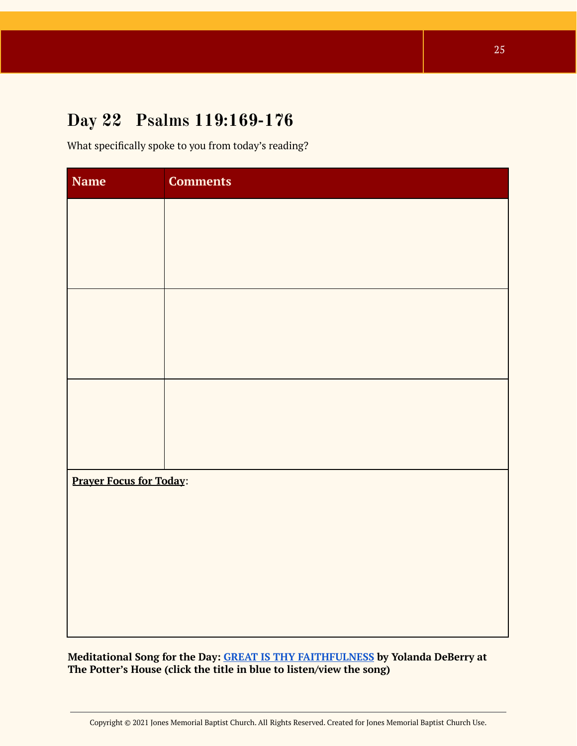#### **Day 22 Psalms 119:169-176**

What specifically spoke to you from today's reading?

| Name                           | <b>Comments</b> |
|--------------------------------|-----------------|
|                                |                 |
|                                |                 |
|                                |                 |
|                                |                 |
|                                |                 |
|                                |                 |
|                                |                 |
|                                |                 |
|                                |                 |
| <b>Prayer Focus for Today:</b> |                 |
|                                |                 |
|                                |                 |
|                                |                 |
|                                |                 |
|                                |                 |

**Meditational Song for the Day: GREAT IS THY [FAITHFULNESS](https://youtu.be/N5JNJuDpDrY) by Yolanda DeBerry at The Potter's House (click the title in blue to listen/view the song)**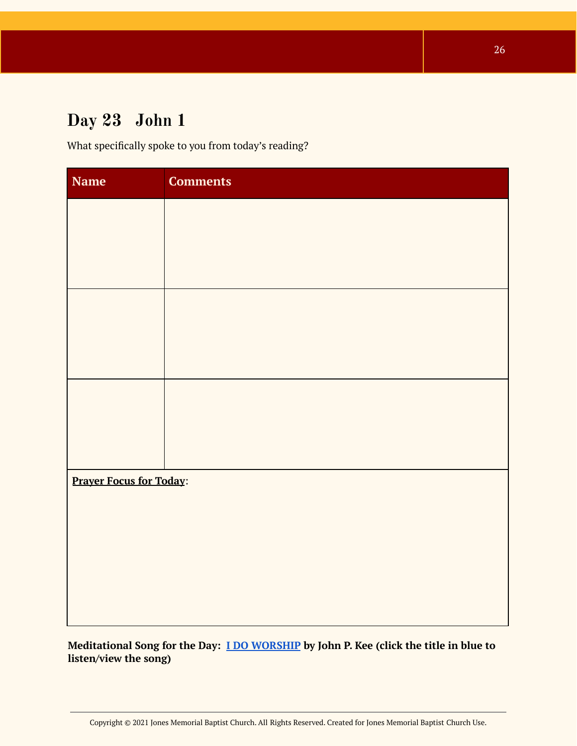# <span id="page-25-0"></span>**Day 23 John 1**

What specifically spoke to you from today's reading?

| <b>Comments</b>                |  |  |
|--------------------------------|--|--|
|                                |  |  |
|                                |  |  |
|                                |  |  |
|                                |  |  |
|                                |  |  |
|                                |  |  |
|                                |  |  |
|                                |  |  |
|                                |  |  |
| <b>Prayer Focus for Today:</b> |  |  |
|                                |  |  |
|                                |  |  |
|                                |  |  |
|                                |  |  |
|                                |  |  |

**Meditational Song for the Day: I DO [WORSHIP](https://open.spotify.com/track/7ek6p3oOf0B4HM1A0fiVJO?si=_KZpgiBgQe2mWQDjrPG_OA) by John P. Kee (click the title in blue to listen/view the song)**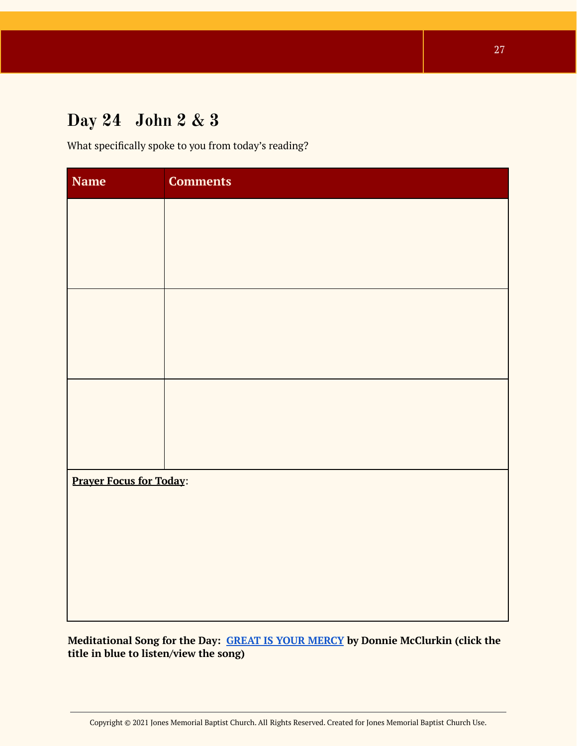# <span id="page-26-0"></span>**Day 24 John 2 & 3**

What specifically spoke to you from today's reading?

| <b>Name</b>                    | <b>Comments</b> |
|--------------------------------|-----------------|
|                                |                 |
|                                |                 |
|                                |                 |
|                                |                 |
|                                |                 |
|                                |                 |
|                                |                 |
|                                |                 |
|                                |                 |
| <b>Prayer Focus for Today:</b> |                 |
|                                |                 |
|                                |                 |
|                                |                 |
|                                |                 |
|                                |                 |

**Meditational Song for the Day: GREAT IS YOUR [MERCY](https://youtu.be/A-cAfUPMHxk) by Donnie McClurkin (click the title in blue to listen/view the song)**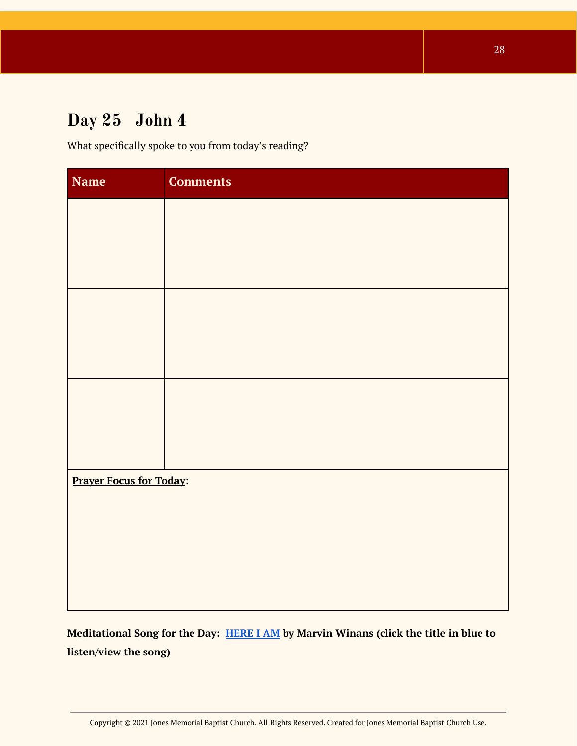# <span id="page-27-0"></span>**Day 25 John 4**

What specifically spoke to you from today's reading?

| <b>Name</b>                    | <b>Comments</b> |
|--------------------------------|-----------------|
|                                |                 |
|                                |                 |
|                                |                 |
|                                |                 |
|                                |                 |
|                                |                 |
|                                |                 |
|                                |                 |
|                                |                 |
| <b>Prayer Focus for Today:</b> |                 |
|                                |                 |
|                                |                 |
|                                |                 |
|                                |                 |

<span id="page-27-1"></span>**Meditational Song for the Day: [HERE](https://youtu.be/17mABUF1ZKg) I AM by Marvin Winans (click the title in blue to listen/view the song)**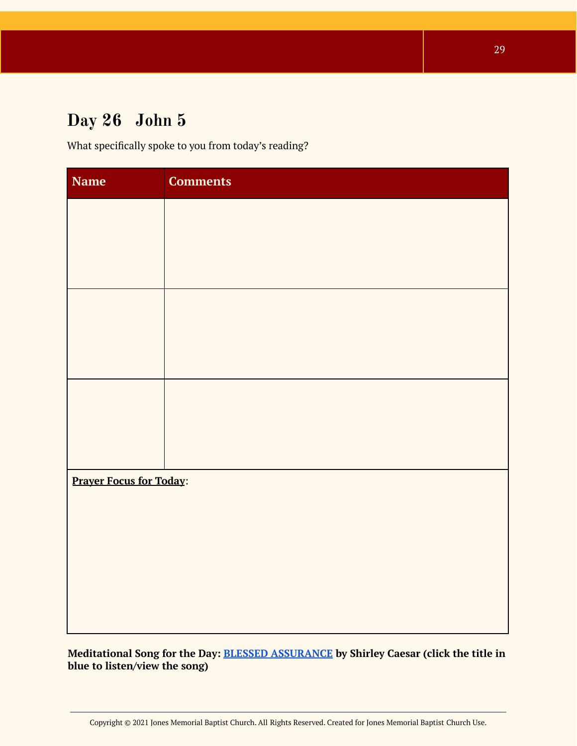# **Day 26 John 5**

What specifically spoke to you from today's reading?

| <b>Name</b>                    | <b>Comments</b> |  |
|--------------------------------|-----------------|--|
|                                |                 |  |
|                                |                 |  |
|                                |                 |  |
|                                |                 |  |
|                                |                 |  |
|                                |                 |  |
|                                |                 |  |
|                                |                 |  |
|                                |                 |  |
| <b>Prayer Focus for Today:</b> |                 |  |
|                                |                 |  |
|                                |                 |  |
|                                |                 |  |
|                                |                 |  |
|                                |                 |  |

**Meditational Song for the Day: BLESSED [ASSURANCE](https://youtu.be/inr1V8UJlUw) by Shirley Caesar (click the title in blue to listen/view the song)**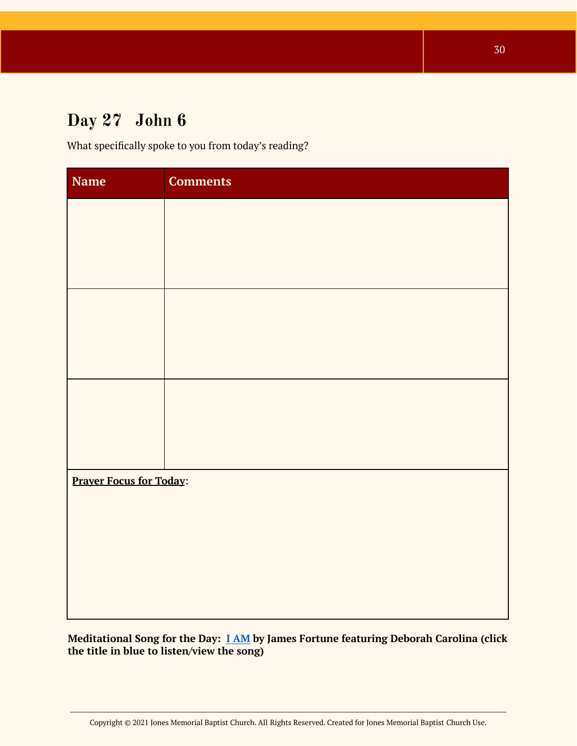# <span id="page-29-0"></span>**Day 27 John 6**

What specifically spoke to you from today's reading?

| <b>Name</b>                    | <b>Comments</b> |
|--------------------------------|-----------------|
|                                |                 |
|                                |                 |
|                                |                 |
|                                |                 |
|                                |                 |
|                                |                 |
|                                |                 |
|                                |                 |
|                                |                 |
| <b>Prayer Focus for Today:</b> |                 |
|                                |                 |
|                                |                 |
|                                |                 |
|                                |                 |

**Meditational Song for the Day: I [AM](https://open.spotify.com/track/5gvwQLe4Z86vBVtTESworf?si=0zonyyVDSPyxqgBJ1Qh1jQ) by James Fortune featuring Deborah Carolina (click the title in blue to listen/view the song)**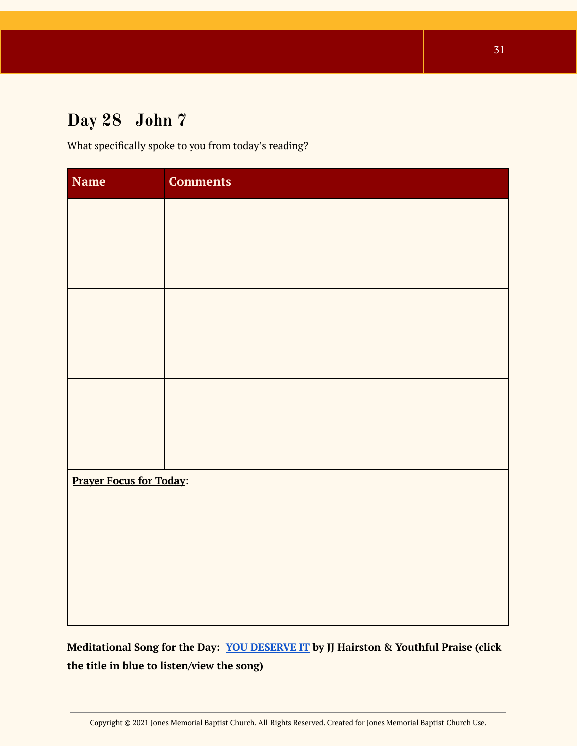# <span id="page-30-0"></span>**Day 28 John 7**

What specifically spoke to you from today's reading?

| <b>Name</b>                    | <b>Comments</b> |  |
|--------------------------------|-----------------|--|
|                                |                 |  |
|                                |                 |  |
|                                |                 |  |
|                                |                 |  |
|                                |                 |  |
|                                |                 |  |
|                                |                 |  |
|                                |                 |  |
|                                |                 |  |
| <b>Prayer Focus for Today:</b> |                 |  |
|                                |                 |  |
|                                |                 |  |
|                                |                 |  |
|                                |                 |  |
|                                |                 |  |

#### <span id="page-30-1"></span>**Meditational Song for the Day: YOU [DESERVE](https://youtu.be/GjPehgvSLH0) IT by JJ Hairston & Youthful Praise (click the title in blue to listen/view the song)**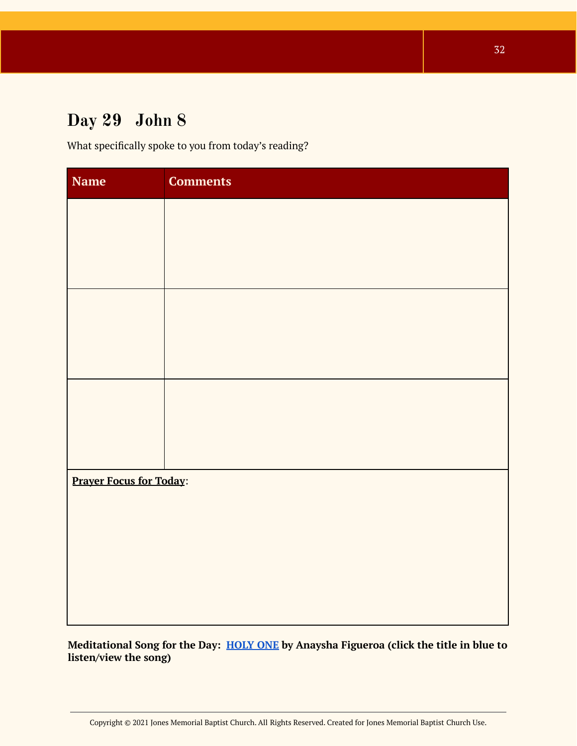# **Day 29 John 8**

What specifically spoke to you from today's reading?

| Name                           | <b>Comments</b> |
|--------------------------------|-----------------|
|                                |                 |
|                                |                 |
|                                |                 |
|                                |                 |
|                                |                 |
|                                |                 |
|                                |                 |
|                                |                 |
|                                |                 |
| <b>Prayer Focus for Today:</b> |                 |
|                                |                 |
|                                |                 |
|                                |                 |
|                                |                 |
|                                |                 |

**Meditational Song for the Day: [HOLY](https://open.spotify.com/track/3zSVRQKiRPROldcUC7QVFb?si=mnXjLY75SliWnSeL2_NrVQ) ONE by Anaysha Figueroa (click the title in blue to listen/view the song)**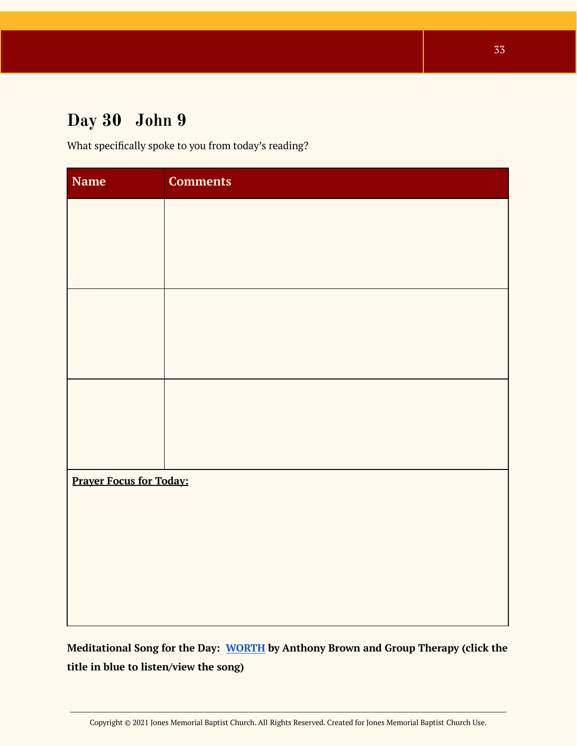# <span id="page-32-0"></span>**Day 30 John 9**

What specifically spoke to you from today's reading?

| <b>Name</b>                    | <b>Comments</b> |  |
|--------------------------------|-----------------|--|
|                                |                 |  |
|                                |                 |  |
|                                |                 |  |
|                                |                 |  |
|                                |                 |  |
|                                |                 |  |
|                                |                 |  |
|                                |                 |  |
|                                |                 |  |
| <b>Prayer Focus for Today:</b> |                 |  |
|                                |                 |  |
|                                |                 |  |
|                                |                 |  |
|                                |                 |  |
|                                |                 |  |

<span id="page-32-1"></span>**Meditational Song for the Day: [WORTH](https://open.spotify.com/track/6gsTSmu6V9XO7INh2YRa4w?si=etlPoGfkS9GyY7o7Ws_I4Q) by Anthony Brown and Group Therapy (click the title in blue to listen/view the song)**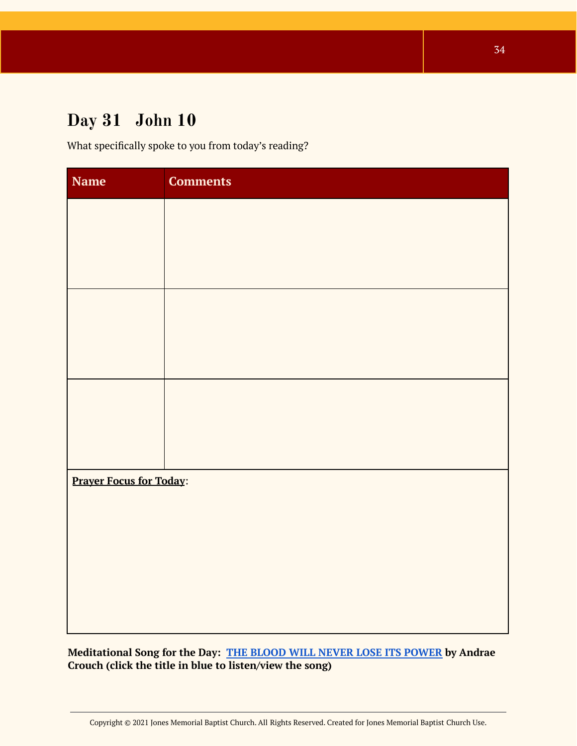# **Day 31 John 10**

What specifically spoke to you from today's reading?

| Name                           | <b>Comments</b> |  |
|--------------------------------|-----------------|--|
|                                |                 |  |
|                                |                 |  |
|                                |                 |  |
|                                |                 |  |
|                                |                 |  |
|                                |                 |  |
|                                |                 |  |
|                                |                 |  |
|                                |                 |  |
| <b>Prayer Focus for Today:</b> |                 |  |
|                                |                 |  |
|                                |                 |  |
|                                |                 |  |
|                                |                 |  |
|                                |                 |  |

**Meditational Song for the Day: THE BLOOD WILL NEVER LOSE ITS [POWER](https://open.spotify.com/track/3Mzi4unhw86nn0zKPJe3Dl?si=t64dj4ObTY2lDN30l1CY4g) by Andrae Crouch (click the title in blue to listen/view the song)**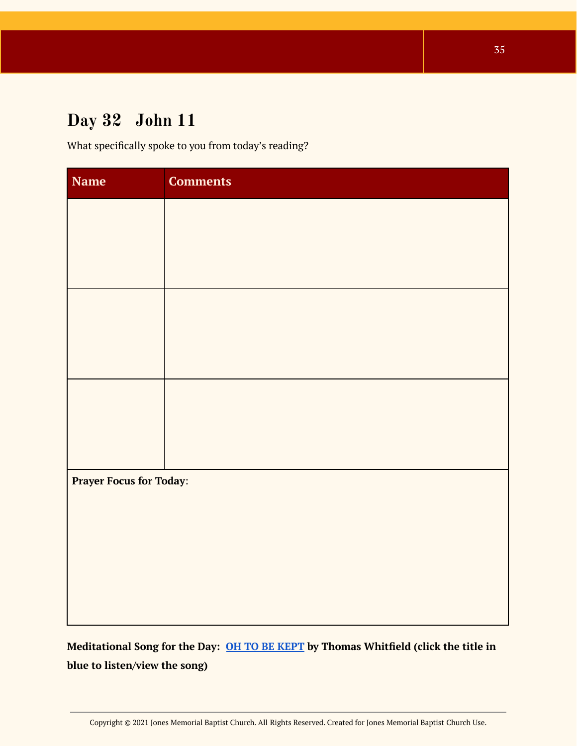# <span id="page-34-0"></span>**Day 32 John 11**

What specifically spoke to you from today's reading?

| <b>Name</b>                    | <b>Comments</b> |  |
|--------------------------------|-----------------|--|
|                                |                 |  |
|                                |                 |  |
|                                |                 |  |
|                                |                 |  |
|                                |                 |  |
|                                |                 |  |
|                                |                 |  |
|                                |                 |  |
|                                |                 |  |
| <b>Prayer Focus for Today:</b> |                 |  |
|                                |                 |  |
|                                |                 |  |
|                                |                 |  |
|                                |                 |  |
|                                |                 |  |

<span id="page-34-1"></span>**Meditational Song for the Day: OH TO BE [KEPT](https://open.spotify.com/track/3cv357OjyJOTSOoZHB8WVT?si=Qz1Vs_5pSrexxlnmnXnlOw) by Thomas Whitfield (click the title in blue to listen/view the song)**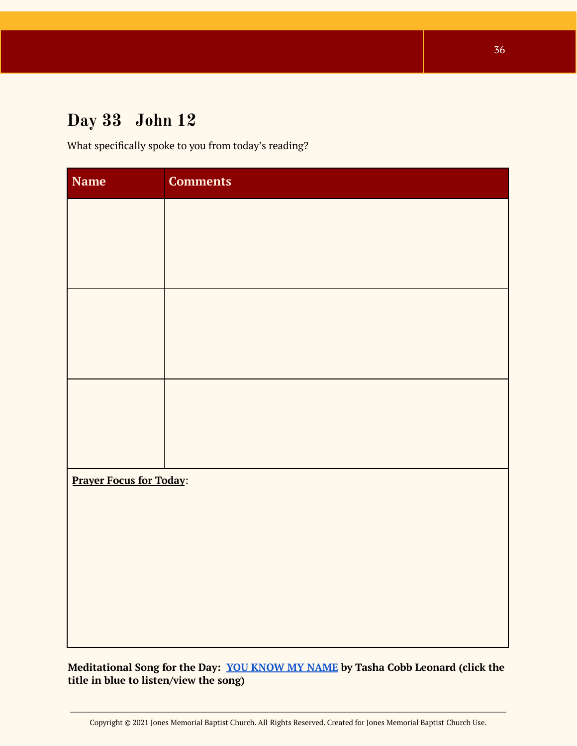# **Day 33 John 12**

What specifically spoke to you from today's reading?

| Name                           | <b>Comments</b> |
|--------------------------------|-----------------|
|                                |                 |
|                                |                 |
|                                |                 |
|                                |                 |
|                                |                 |
|                                |                 |
|                                |                 |
|                                |                 |
|                                |                 |
| <b>Prayer Focus for Today:</b> |                 |
|                                |                 |
|                                |                 |
|                                |                 |
|                                |                 |
|                                |                 |

**Meditational Song for the Day: YOU [KNOW](https://open.spotify.com/track/0Dlm41iXvTsIVsEOce3yX6?si=xIEOoH3RS3G57Le7PFP__A) MY NAME by Tasha Cobb Leonard (click the title in blue to listen/view the song)**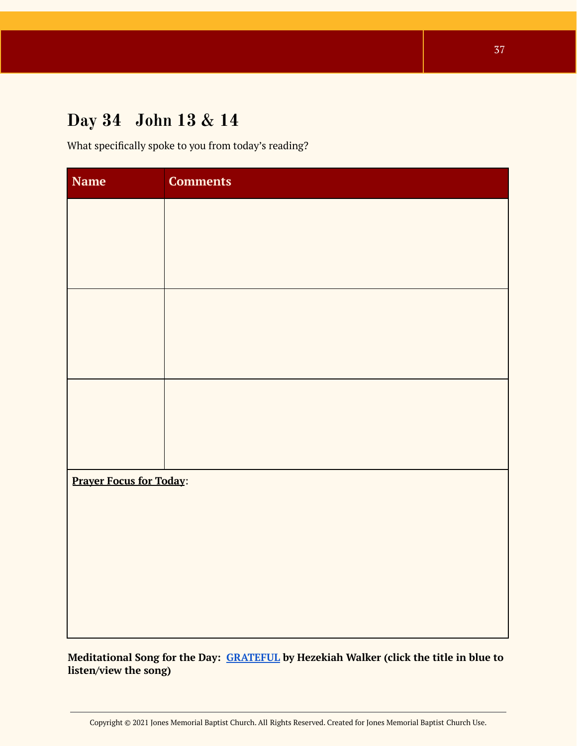# <span id="page-36-0"></span>**Day 34 John 13 & 14**

What specifically spoke to you from today's reading?

| Name                           | <b>Comments</b> |  |
|--------------------------------|-----------------|--|
|                                |                 |  |
|                                |                 |  |
|                                |                 |  |
|                                |                 |  |
|                                |                 |  |
|                                |                 |  |
|                                |                 |  |
|                                |                 |  |
|                                |                 |  |
| <b>Prayer Focus for Today:</b> |                 |  |
|                                |                 |  |
|                                |                 |  |
|                                |                 |  |
|                                |                 |  |
|                                |                 |  |

**Meditational Song for the Day: [GRATEFUL](https://open.spotify.com/track/0vtvtxjSKV02DeQJNW217U?si=WaGRCxo9TfyfVMGE49hlUg) by Hezekiah Walker (click the title in blue to listen/view the song)**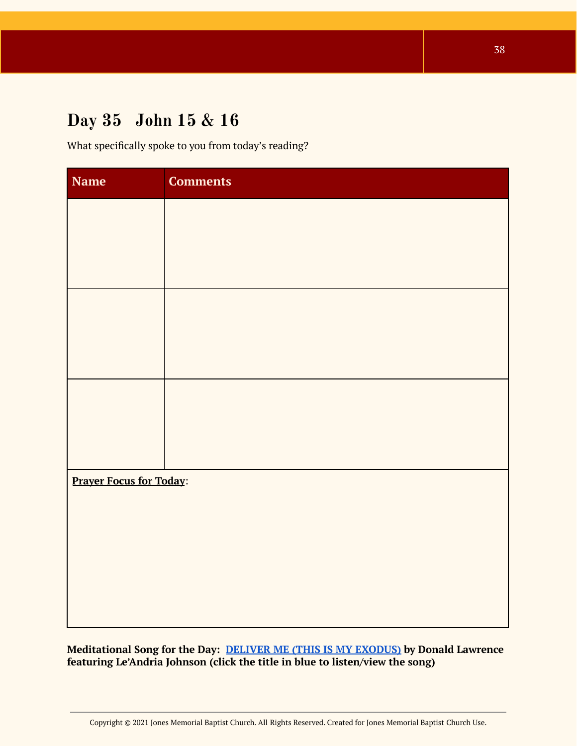# <span id="page-37-0"></span>**Day 35 John 15 & 16**

What specifically spoke to you from today's reading?

| <b>Name</b>                    | <b>Comments</b> |  |
|--------------------------------|-----------------|--|
|                                |                 |  |
|                                |                 |  |
|                                |                 |  |
|                                |                 |  |
|                                |                 |  |
|                                |                 |  |
|                                |                 |  |
|                                |                 |  |
|                                |                 |  |
| <b>Prayer Focus for Today:</b> |                 |  |
|                                |                 |  |
|                                |                 |  |
|                                |                 |  |
|                                |                 |  |
|                                |                 |  |

<span id="page-37-1"></span>**Meditational Song for the Day: DELIVER ME (THIS IS MY [EXODUS\)](https://open.spotify.com/track/4imwSeFR8R3yKpfD2yNI2r?si=Pf9ldecsRIictziT1M6wSw) by Donald Lawrence featuring Le'Andria Johnson (click the title in blue to listen/view the song)**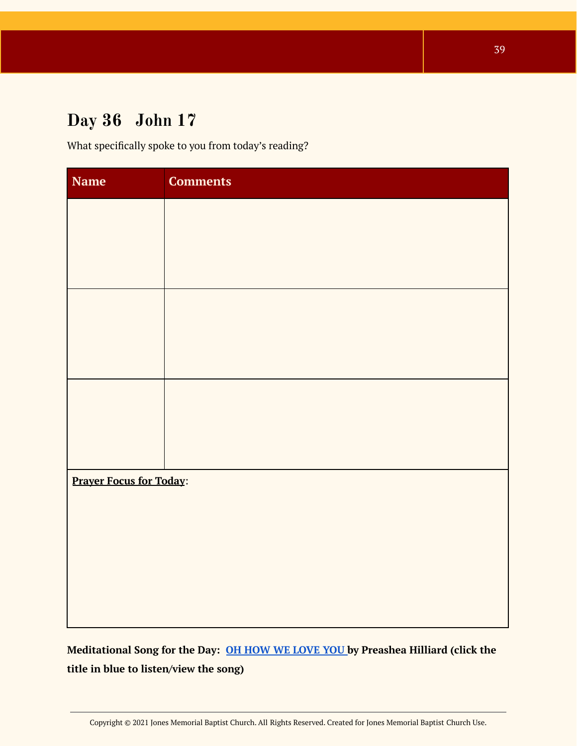# **Day 36 John 17**

What specifically spoke to you from today's reading?

| Name                           | <b>Comments</b> |  |
|--------------------------------|-----------------|--|
|                                |                 |  |
|                                |                 |  |
|                                |                 |  |
|                                |                 |  |
|                                |                 |  |
|                                |                 |  |
|                                |                 |  |
|                                |                 |  |
|                                |                 |  |
| <b>Prayer Focus for Today:</b> |                 |  |
|                                |                 |  |
|                                |                 |  |
|                                |                 |  |
|                                |                 |  |
|                                |                 |  |

**Meditational Song for the Day: OH HOW WE [LOVE](https://open.spotify.com/track/3TKcWWjZfkCneeQKmLO1TL?si=LN0coOlDTwi5mUIP4BXt_g) YOU by Preashea Hilliard (click the title in blue to listen/view the song)**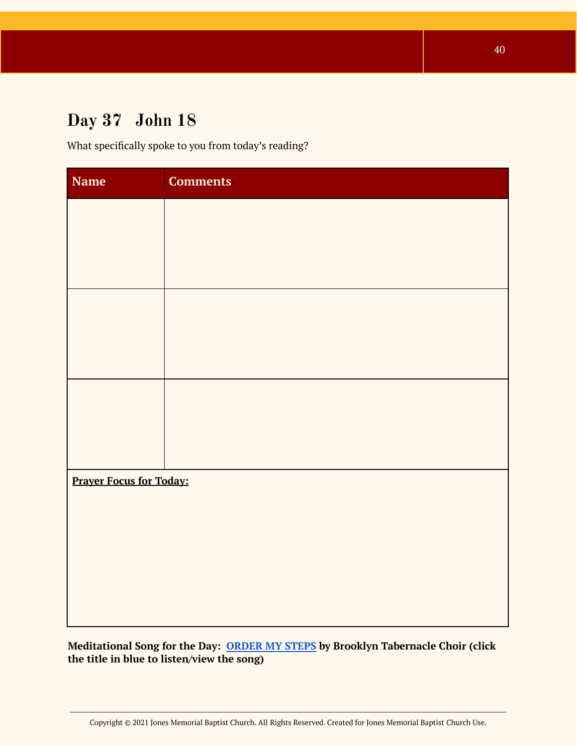# <span id="page-39-0"></span>**Day 37 John 18**

What specifically spoke to you from today's reading?

| <b>Name</b>                    | <b>Comments</b> |  |
|--------------------------------|-----------------|--|
|                                |                 |  |
|                                |                 |  |
|                                |                 |  |
|                                |                 |  |
|                                |                 |  |
|                                |                 |  |
|                                |                 |  |
|                                |                 |  |
|                                |                 |  |
| <b>Prayer Focus for Today:</b> |                 |  |
|                                |                 |  |
|                                |                 |  |
|                                |                 |  |
|                                |                 |  |
|                                |                 |  |

**Meditational Song for the Day: [ORDER](https://open.spotify.com/track/6ESHT7vZN5jFrmCNfjcFno?si=z1NL9CrzQ_eGwcMXphfJoQ) MY STEPS by Brooklyn Tabernacle Choir (click the title in blue to listen/view the song)**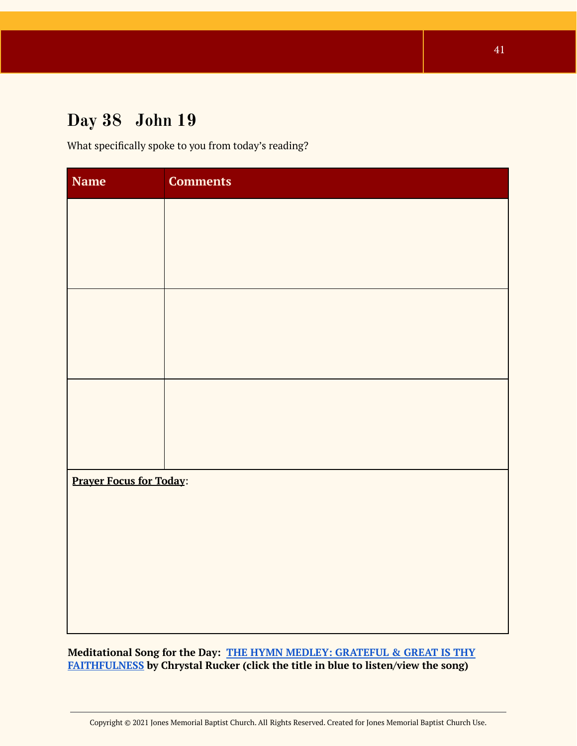# <span id="page-40-0"></span>**Day 38 John 19**

What specifically spoke to you from today's reading?

| <b>Name</b>                    | <b>Comments</b> |  |
|--------------------------------|-----------------|--|
|                                |                 |  |
|                                |                 |  |
|                                |                 |  |
|                                |                 |  |
|                                |                 |  |
|                                |                 |  |
|                                |                 |  |
|                                |                 |  |
|                                |                 |  |
| <b>Prayer Focus for Today:</b> |                 |  |
|                                |                 |  |
|                                |                 |  |
|                                |                 |  |
|                                |                 |  |
|                                |                 |  |

**Meditational Song for the Day: THE HYMN MEDLEY: [GRATEFUL](https://open.spotify.com/track/54GmcAcBFZ7UjHbbcnRhr1?si=r-98SfrOT1yAoir302nIdw) & GREAT IS THY [FAITHFULNESS](https://open.spotify.com/track/54GmcAcBFZ7UjHbbcnRhr1?si=r-98SfrOT1yAoir302nIdw) by Chrystal Rucker (click the title in blue to listen/view the song)**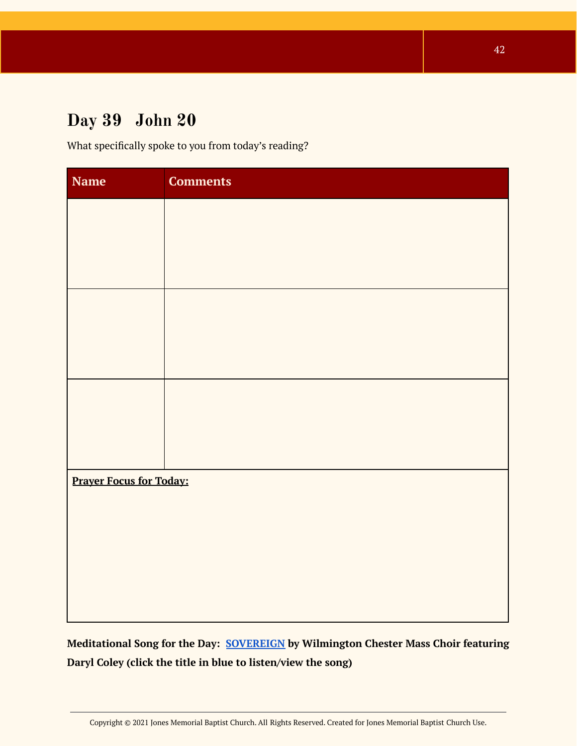# <span id="page-41-0"></span>**Day 39 John 20**

What specifically spoke to you from today's reading?

| <b>Comments</b>                |  |  |
|--------------------------------|--|--|
|                                |  |  |
|                                |  |  |
|                                |  |  |
|                                |  |  |
|                                |  |  |
|                                |  |  |
|                                |  |  |
|                                |  |  |
|                                |  |  |
| <b>Prayer Focus for Today:</b> |  |  |
|                                |  |  |
|                                |  |  |
|                                |  |  |
|                                |  |  |
|                                |  |  |

<span id="page-41-1"></span>**Meditational Song for the Day: [SOVEREIGN](https://youtu.be/ApCX84oDDJ8) by Wilmington Chester Mass Choir featuring Daryl Coley (click the title in blue to listen/view the song)**